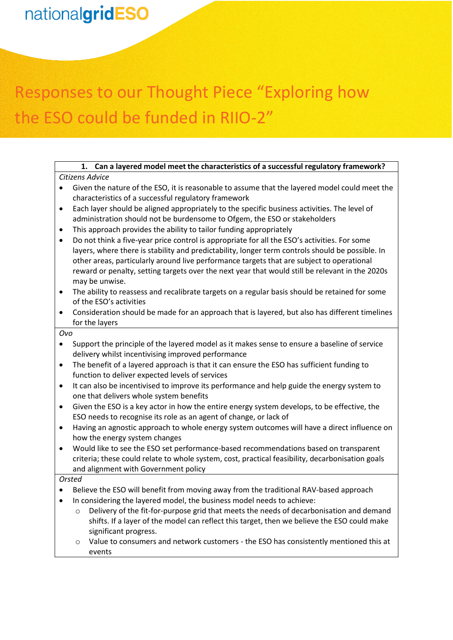# Responses to our Thought Piece "Exploring how the ESO could be funded in RIIO-2"

#### **1. Can a layered model meet the characteristics of a successful regulatory framework?** *Citizens Advice*

- Given the nature of the ESO, it is reasonable to assume that the layered model could meet the characteristics of a successful regulatory framework
- Each layer should be aligned appropriately to the specific business activities. The level of administration should not be burdensome to Ofgem, the ESO or stakeholders
- This approach provides the ability to tailor funding appropriately
- Do not think a five-year price control is appropriate for all the ESO's activities. For some layers, where there is stability and predictability, longer term controls should be possible. In other areas, particularly around live performance targets that are subject to operational reward or penalty, setting targets over the next year that would still be relevant in the 2020s may be unwise.
- The ability to reassess and recalibrate targets on a regular basis should be retained for some of the ESO's activities
- Consideration should be made for an approach that is layered, but also has different timelines for the layers

*Ovo*

- Support the principle of the layered model as it makes sense to ensure a baseline of service delivery whilst incentivising improved performance
- The benefit of a layered approach is that it can ensure the ESO has sufficient funding to function to deliver expected levels of services
- It can also be incentivised to improve its performance and help guide the energy system to one that delivers whole system benefits
- Given the ESO is a key actor in how the entire energy system develops, to be effective, the ESO needs to recognise its role as an agent of change, or lack of
- Having an agnostic approach to whole energy system outcomes will have a direct influence on how the energy system changes
- Would like to see the ESO set performance-based recommendations based on transparent criteria; these could relate to whole system, cost, practical feasibility, decarbonisation goals and alignment with Government policy

#### *Orsted*

- Believe the ESO will benefit from moving away from the traditional RAV-based approach
- In considering the layered model, the business model needs to achieve:
	- $\circ$  Delivery of the fit-for-purpose grid that meets the needs of decarbonisation and demand shifts. If a layer of the model can reflect this target, then we believe the ESO could make significant progress.
	- $\circ$  Value to consumers and network customers the ESO has consistently mentioned this at events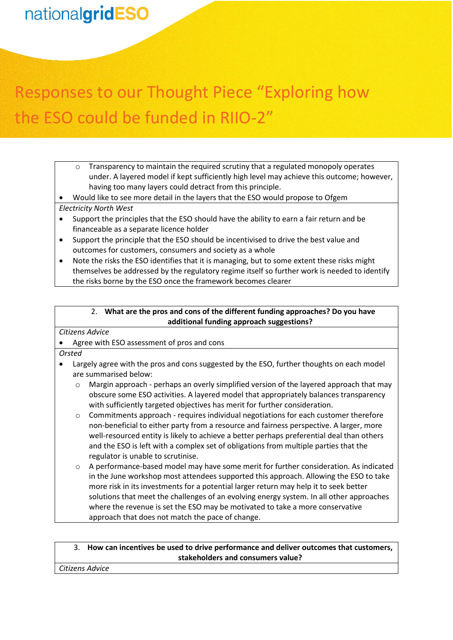# Responses to our Thought Piece "Exploring how the ESO could be funded in RIIO-2"

 $\circ$  Transparency to maintain the required scrutiny that a regulated monopoly operates under. A layered model if kept sufficiently high level may achieve this outcome; however, having too many layers could detract from this principle.

• Would like to see more detail in the layers that the ESO would propose to Ofgem *Electricity North West*

- Support the principles that the ESO should have the ability to earn a fair return and be financeable as a separate licence holder
- Support the principle that the ESO should be incentivised to drive the best value and outcomes for customers, consumers and society as a whole
- Note the risks the ESO identifies that it is managing, but to some extent these risks might themselves be addressed by the regulatory regime itself so further work is needed to identify the risks borne by the ESO once the framework becomes clearer

#### 2. **What are the pros and cons of the different funding approaches? Do you have additional funding approach suggestions?**

*Citizens Advice*

#### • Agree with ESO assessment of pros and cons

*Orsted*

- Largely agree with the pros and cons suggested by the ESO, further thoughts on each model are summarised below:
	- $\circ$  Margin approach perhaps an overly simplified version of the layered approach that may obscure some ESO activities. A layered model that appropriately balances transparency with sufficiently targeted objectives has merit for further consideration.
	- $\circ$  Commitments approach requires individual negotiations for each customer therefore non-beneficial to either party from a resource and fairness perspective. A larger, more well-resourced entity is likely to achieve a better perhaps preferential deal than others and the ESO is left with a complex set of obligations from multiple parties that the regulator is unable to scrutinise.
	- o A performance-based model may have some merit for further consideration. As indicated in the June workshop most attendees supported this approach. Allowing the ESO to take more risk in its investments for a potential larger return may help it to seek better solutions that meet the challenges of an evolving energy system. In all other approaches where the revenue is set the ESO may be motivated to take a more conservative approach that does not match the pace of change.

#### 3. **How can incentives be used to drive performance and deliver outcomes that customers, stakeholders and consumers value?**

*Citizens Advice*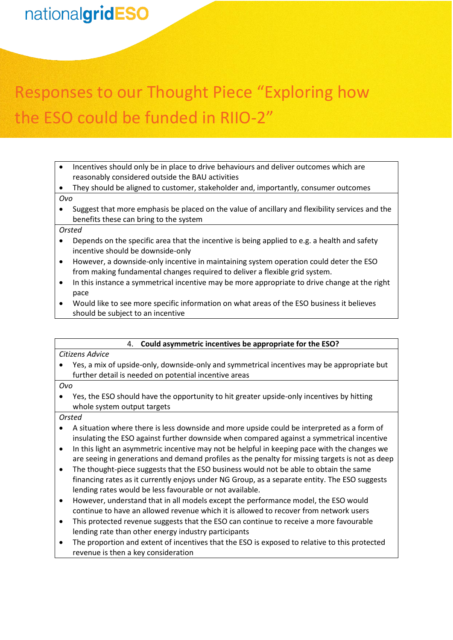# Responses to our Thought Piece "Exploring how the ESO could be funded in RIIO-2"

- Incentives should only be in place to drive behaviours and deliver outcomes which are reasonably considered outside the BAU activities
- They should be aligned to customer, stakeholder and, importantly, consumer outcomes *Ovo*
- Suggest that more emphasis be placed on the value of ancillary and flexibility services and the benefits these can bring to the system

#### *Orsted*

- Depends on the specific area that the incentive is being applied to e.g. a health and safety incentive should be downside-only
- However, a downside-only incentive in maintaining system operation could deter the ESO from making fundamental changes required to deliver a flexible grid system.
- In this instance a symmetrical incentive may be more appropriate to drive change at the right pace
- Would like to see more specific information on what areas of the ESO business it believes should be subject to an incentive

#### 4. **Could asymmetric incentives be appropriate for the ESO?**

#### *Citizens Advice*

• Yes, a mix of upside-only, downside-only and symmetrical incentives may be appropriate but further detail is needed on potential incentive areas

*Ovo*

• Yes, the ESO should have the opportunity to hit greater upside-only incentives by hitting whole system output targets

#### *Orsted*

- A situation where there is less downside and more upside could be interpreted as a form of insulating the ESO against further downside when compared against a symmetrical incentive
- In this light an asymmetric incentive may not be helpful in keeping pace with the changes we are seeing in generations and demand profiles as the penalty for missing targets is not as deep
- The thought-piece suggests that the ESO business would not be able to obtain the same financing rates as it currently enjoys under NG Group, as a separate entity. The ESO suggests lending rates would be less favourable or not available.
- However, understand that in all models except the performance model, the ESO would continue to have an allowed revenue which it is allowed to recover from network users
- This protected revenue suggests that the ESO can continue to receive a more favourable lending rate than other energy industry participants
- The proportion and extent of incentives that the ESO is exposed to relative to this protected revenue is then a key consideration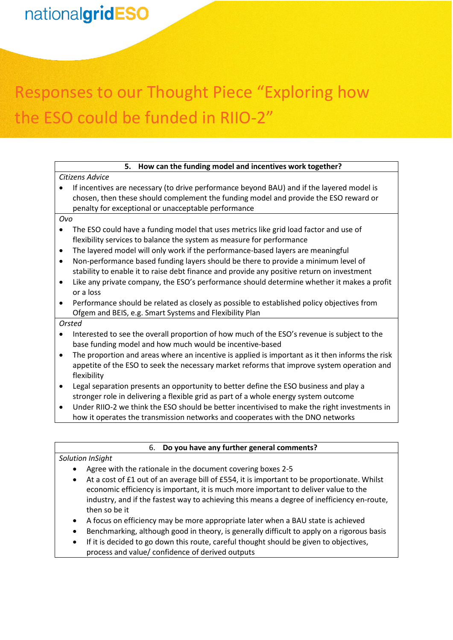# Responses to our Thought Piece "Exploring how the ESO could be funded in RIIO-2"

| How can the funding model and incentives work together?<br>5.                                                                                                                                                                                                                                                                                                                                                                                                                                                                                                                                                                                                                           |  |  |
|-----------------------------------------------------------------------------------------------------------------------------------------------------------------------------------------------------------------------------------------------------------------------------------------------------------------------------------------------------------------------------------------------------------------------------------------------------------------------------------------------------------------------------------------------------------------------------------------------------------------------------------------------------------------------------------------|--|--|
| Citizens Advice                                                                                                                                                                                                                                                                                                                                                                                                                                                                                                                                                                                                                                                                         |  |  |
| If incentives are necessary (to drive performance beyond BAU) and if the layered model is<br>chosen, then these should complement the funding model and provide the ESO reward or<br>penalty for exceptional or unacceptable performance                                                                                                                                                                                                                                                                                                                                                                                                                                                |  |  |
| Ovo                                                                                                                                                                                                                                                                                                                                                                                                                                                                                                                                                                                                                                                                                     |  |  |
| The ESO could have a funding model that uses metrics like grid load factor and use of<br>$\bullet$<br>flexibility services to balance the system as measure for performance<br>The layered model will only work if the performance-based layers are meaningful<br>٠<br>Non-performance based funding layers should be there to provide a minimum level of<br>$\bullet$<br>stability to enable it to raise debt finance and provide any positive return on investment<br>Like any private company, the ESO's performance should determine whether it makes a profit<br>٠<br>or a loss<br>Performance should be related as closely as possible to established policy objectives from<br>٠ |  |  |
| Ofgem and BEIS, e.g. Smart Systems and Flexibility Plan                                                                                                                                                                                                                                                                                                                                                                                                                                                                                                                                                                                                                                 |  |  |
| Orsted                                                                                                                                                                                                                                                                                                                                                                                                                                                                                                                                                                                                                                                                                  |  |  |
| Interested to see the overall proportion of how much of the ESO's revenue is subject to the<br>$\bullet$<br>base funding model and how much would be incentive-based                                                                                                                                                                                                                                                                                                                                                                                                                                                                                                                    |  |  |
| The proportion and areas where an incentive is applied is important as it then informs the risk<br>$\bullet$<br>appetite of the ESO to seek the necessary market reforms that improve system operation and<br>flexibility                                                                                                                                                                                                                                                                                                                                                                                                                                                               |  |  |
| Legal separation presents an opportunity to better define the ESO business and play a<br>stronger role in delivering a flexible grid as part of a whole energy system outcome                                                                                                                                                                                                                                                                                                                                                                                                                                                                                                           |  |  |
| Under RIIO-2 we think the ESO should be better incentivised to make the right investments in<br>$\bullet$<br>how it operates the transmission networks and cooperates with the DNO networks                                                                                                                                                                                                                                                                                                                                                                                                                                                                                             |  |  |
|                                                                                                                                                                                                                                                                                                                                                                                                                                                                                                                                                                                                                                                                                         |  |  |
| Do you have any further general comments?<br>6.                                                                                                                                                                                                                                                                                                                                                                                                                                                                                                                                                                                                                                         |  |  |

| Solution InSight |  |
|------------------|--|
|                  |  |

- Agree with the rationale in the document covering boxes 2-5
- At a cost of £1 out of an average bill of £554, it is important to be proportionate. Whilst economic efficiency is important, it is much more important to deliver value to the industry, and if the fastest way to achieving this means a degree of inefficiency en-route, then so be it
- A focus on efficiency may be more appropriate later when a BAU state is achieved
- Benchmarking, although good in theory, is generally difficult to apply on a rigorous basis
- If it is decided to go down this route, careful thought should be given to objectives, process and value/ confidence of derived outputs